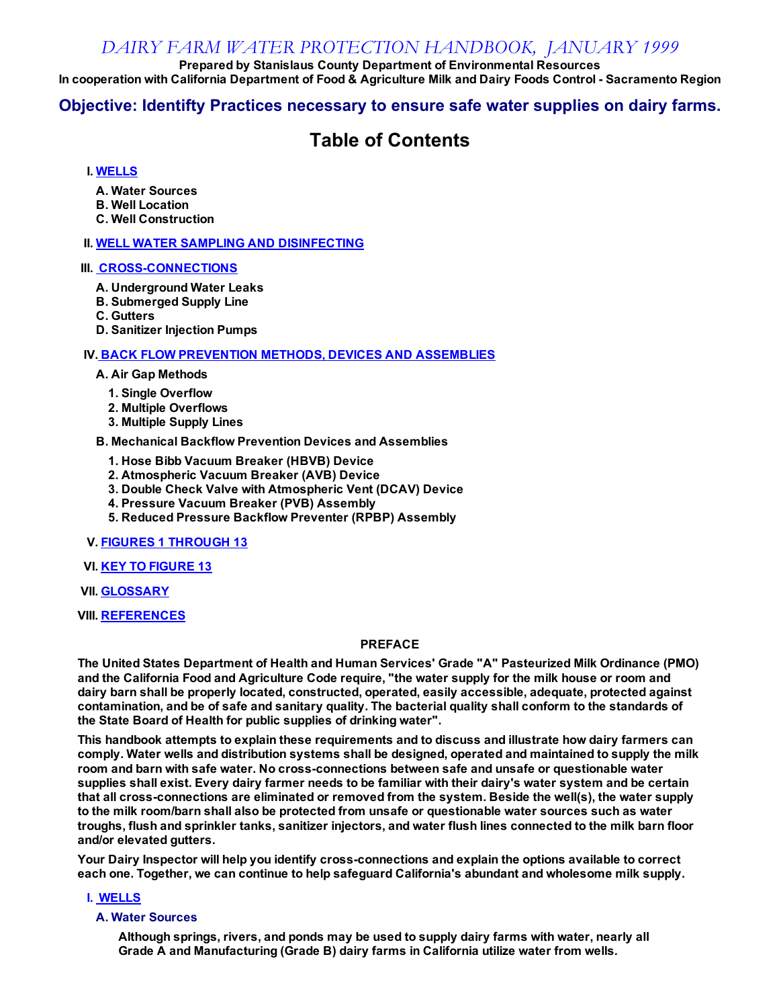#### DAIRY FARM WATER PROTECTION HANDBOOK, JANUARY 1999

Prepared by Stanislaus County Department of Environmental Resources In cooperation with California Department of Food & Agriculture Milk and Dairy Foods Control - Sacramento Region

#### Objective: Identifty Practices necessary to ensure safe water supplies on dairy farms.

### Table of Contents

#### I. [WELLS](#page-0-0)

- A. Water Sources
- B. Well Location
- C. Well Construction

#### **II. WELL WATER SAMPLING AND [DISINFECTING](#page-1-0)**

#### **III. CROSS-CONNECTIONS**

- A. Underground Water Leaks
- B. Submerged Supply Line
- C. Gutters
- D. Sanitizer Injection Pumps

#### IV. BACK FLOW [PREVENTION](#page-2-0) METHODS, DEVICES AND ASSEMBLIES

#### A. Air Gap Methods

- 1. Single Overflow
- 2. Multiple Overflows
- 3. Multiple Supply Lines

#### B. Mechanical Backflow Prevention Devices and Assemblies

- 1. Hose Bibb Vacuum Breaker (HBVB) Device
- 2. Atmospheric Vacuum Breaker (AVB) Device
- 3. Double Check Valve with Atmospheric Vent (DCAV) Device
- 4. Pressure Vacuum Breaker (PVB) Assembly
- 5. Reduced Pressure Backflow Preventer (RPBP) Assembly
- V. FIGURES 1 [THROUGH](#page-5-0) 13
- VI. KEY TO FIGURE 13
- **VII. [GLOSSARY](#page-20-0)**
- VIII. [REFERENCES](#page-21-0)

#### PREFACE

The United States Department of Health and Human Services' Grade "A" Pasteurized Milk Ordinance (PMO) and the California Food and Agriculture Code require, "the water supply for the milk house or room and dairy barn shall be properly located, constructed, operated, easily accessible, adequate, protected against contamination, and be of safe and sanitary quality. The bacterial quality shall conform to the standards of the State Board of Health for public supplies of drinking water".

This handbook attempts to explain these requirements and to discuss and illustrate how dairy farmers can comply. Water wells and distribution systems shall be designed, operated and maintained to supply the milk room and barn with safe water. No cross-connections between safe and unsafe or questionable water supplies shall exist. Every dairy farmer needs to be familiar with their dairy's water system and be certain that all cross-connections are eliminated or removed from the system. Beside the well(s), the water supply to the milk room/barn shall also be protected from unsafe or questionable water sources such as water troughs, flush and sprinkler tanks, sanitizer injectors, and water flush lines connected to the milk barn floor and/or elevated gutters.

Your Dairy Inspector will help you identify cross-connections and explain the options available to correct each one. Together, we can continue to help safeguard California's abundant and wholesome milk supply.

<span id="page-0-0"></span>I. WELLS

#### A. Water Sources

Although springs, rivers, and ponds may be used to supply dairy farms with water, nearly all Grade A and Manufacturing (Grade B) dairy farms in California utilize water from wells.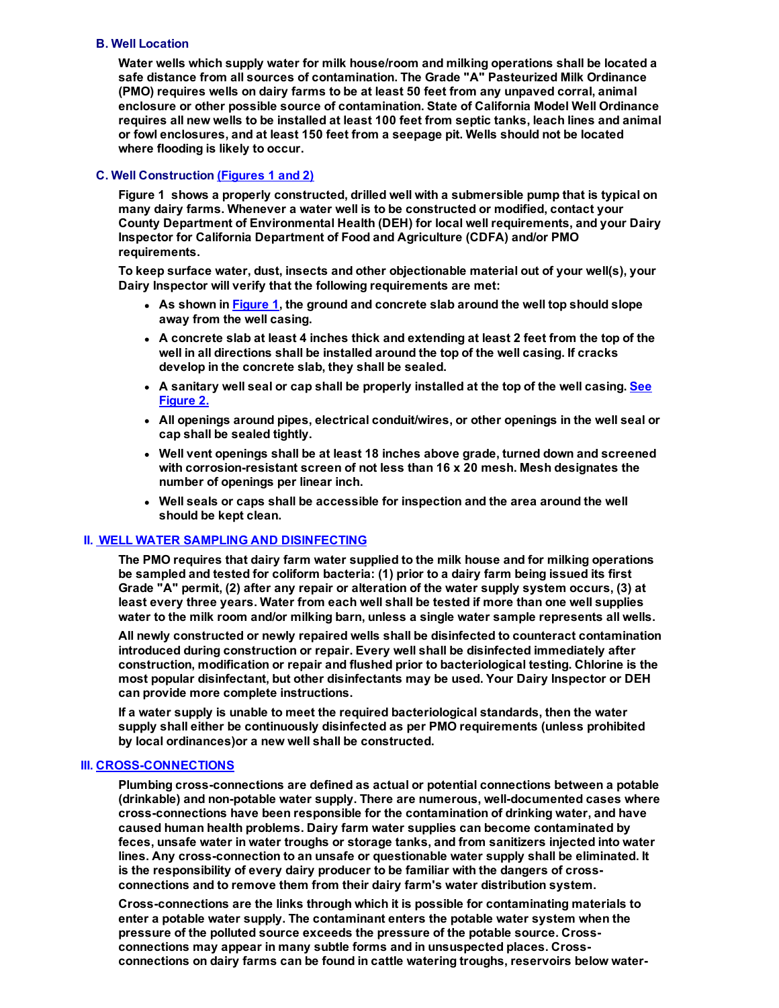#### B. Well Location

Water wells which supply water for milk house/room and milking operations shall be located a safe distance from all sources of contamination. The Grade "A" Pasteurized Milk Ordinance (PMO) requires wells on dairy farms to be at least 50 feet from any unpaved corral, animal enclosure or other possible source of contamination. State of California Model Well Ordinance requires all new wells to be installed at least 100 feet from septic tanks, leach lines and animal or fowl enclosures, and at least 150 feet from a seepage pit. Wells should not be located where flooding is likely to occur.

#### C. Well Construction (Figures 1 and 2)

Figure 1 shows a properly constructed, drilled well with a submersible pump that is typical on many dairy farms. Whenever a water well is to be constructed or modified, contact your County Department of Environmental Health (DEH) for local well requirements, and your Dairy Inspector for California Department of Food and Agriculture (CDFA) and/or PMO requirements.

To keep surface water, dust, insects and other objectionable material out of your well(s), your Dairy Inspector will verify that the following requirements are met:

- As shown in **Figure 1**, the ground and concrete slab around the well top should slope away from the well casing.
- A concrete slab at least 4 inches thick and extending at least 2 feet from the top of the well in all directions shall be installed around the top of the well casing. If cracks develop in the concrete slab, they shall be sealed.
- A sanitary well seal or cap shall be properly installed at the top of the well casing. See Figure 2.
- All openings around pipes, electrical conduit/wires, or other openings in the well seal or cap shall be sealed tightly.
- Well vent openings shall be at least 18 inches above grade, turned down and screened with corrosion-resistant screen of not less than  $16 \times 20$  mesh. Mesh designates the number of openings per linear inch.
- Well seals or caps shall be accessible for inspection and the area around the well should be kept clean.

#### <span id="page-1-0"></span>**II. WELL WATER SAMPLING AND DISINFECTING**

The PMO requires that dairy farm water supplied to the milk house and for milking operations be sampled and tested for coliform bacteria: (1) prior to a dairy farm being issued its first Grade "A" permit, (2) after any repair or alteration of the water supply system occurs, (3) at least every three years. Water from each well shall be tested if more than one well supplies water to the milk room and/or milking barn, unless a single water sample represents all wells.

All newly constructed or newly repaired wells shall be disinfected to counteract contamination introduced during construction or repair. Every well shall be disinfected immediately after construction, modification or repair and flushed prior to bacteriological testing. Chlorine is the most popular disinfectant, but other disinfectants may be used. Your Dairy Inspector or DEH can provide more complete instructions.

If a water supply is unable to meet the required bacteriological standards, then the water supply shall either be continuously disinfected as per PMO requirements (unless prohibited by local ordinances)or a new well shall be constructed.

#### <span id="page-1-1"></span>**III. CROSS-CONNECTIONS**

Plumbing cross-connections are defined as actual or potential connections between a potable (drinkable) and non-potable water supply. There are numerous, well-documented cases where cross-connections have been responsible for the contamination of drinking water, and have caused human health problems. Dairy farm water supplies can become contaminated by feces, unsafe water in water troughs or storage tanks, and from sanitizers injected into water lines. Any cross-connection to an unsafe or questionable water supply shall be eliminated. It is the responsibility of every dairy producer to be familiar with the dangers of crossconnections and to remove them from their dairy farm's water distribution system.

Crossconnections are the links through which it is possible for contaminating materials to enter a potable water supply. The contaminant enters the potable water system when the pressure of the polluted source exceeds the pressure of the potable source. Crossconnections may appear in many subtle forms and in unsuspected places. Crossconnections on dairy farms can be found in cattle watering troughs, reservoirs below water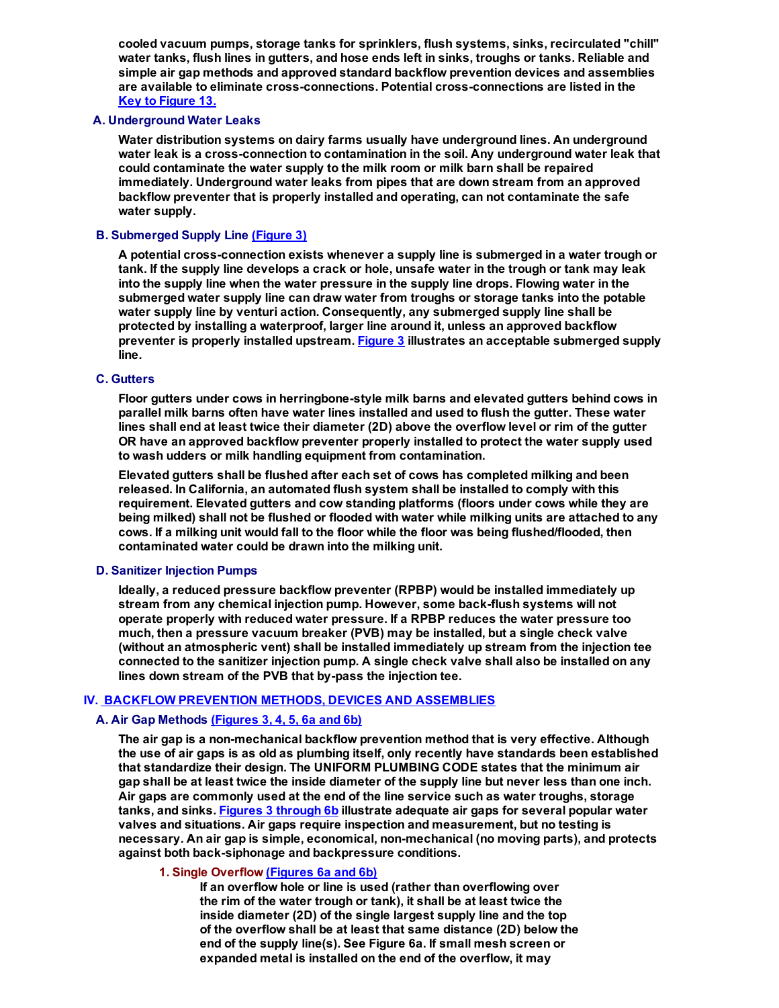cooled vacuum pumps, storage tanks for sprinklers, flush systems, sinks, recirculated "chill" water tanks, flush lines in gutters, and hose ends left in sinks, troughs or tanks. Reliable and simple air gap methods and approved standard backflow prevention devices and assemblies are available to eliminate cross-connections. Potential cross-connections are listed in the Key to Figure 13.

#### A. Underground Water Leaks

Water distribution systems on dairy farms usually have underground lines. An underground water leak is a cross-connection to contamination in the soil. Any underground water leak that could contaminate the water supply to the milk room or milk barn shall be repaired immediately. Underground water leaks from pipes that are down stream from an approved backflow preventer that is properly installed and operating, can not contaminate the safe water supply.

#### B. Submerged Supply Line (Figure 3)

A potential cross-connection exists whenever a supply line is submerged in a water trough or tank. If the supply line develops a crack or hole, unsafe water in the trough or tank may leak into the supply line when the water pressure in the supply line drops. Flowing water in the submerged water supply line can draw water from troughs or storage tanks into the potable water supply line by venturi action. Consequently, any submerged supply line shall be protected by installing a waterproof, larger line around it, unless an approved backflow preventer is properly installed upstream. Figure 3 illustrates an acceptable submerged supply line.

#### C. Gutters

Floor gutters under cows in herringbone-style milk barns and elevated gutters behind cows in parallel milk barns often have water lines installed and used to flush the gutter. These water lines shall end at least twice their diameter (2D) above the overflow level or rim of the gutter OR have an approved backflow preventer properly installed to protect the water supply used to wash udders or milk handling equipment from contamination.

Elevated gutters shall be flushed after each set of cows has completed milking and been released. In California, an automated flush system shall be installed to comply with this requirement. Elevated gutters and cow standing platforms (floors under cows while they are being milked) shall not be flushed or flooded with water while milking units are attached to any cows. If a milking unit would fall to the floor while the floor was being flushed/flooded, then contaminated water could be drawn into the milking unit.

#### D. Sanitizer Injection Pumps

Ideally, a reduced pressure backflow preventer (RPBP) would be installed immediately up stream from any chemical injection pump. However, some back-flush systems will not operate properly with reduced water pressure. If a RPBP reduces the water pressure too much, then a pressure vacuum breaker (PVB) may be installed, but a single check valve (without an atmospheric vent) shall be installed immediately up stream from the injection tee connected to the sanitizer injection pump. A single check valve shall also be installed on any lines down stream of the PVB that by-pass the injection tee.

#### <span id="page-2-0"></span>IV. BACKFLOW PREVENTION METHODS, DEVICES AND ASSEMBLIES

#### A. Air Gap Methods (Figures 3, 4, 5, 6a and 6b)

The air gap is a non-mechanical backflow prevention method that is very effective. Although the use of air gaps is as old as plumbing itself, only recently have standards been established that standardize their design. The UNIFORM PLUMBING CODE states that the minimum air gap shall be at least twice the inside diameter of the supply line but never less than one inch. Air gaps are commonly used at the end of the line service such as water troughs, storage tanks, and sinks. Figures 3 through 6b illustrate adequate air gaps for several popular water valves and situations. Air gaps require inspection and measurement, but no testing is necessary. An air gap is simple, economical, non-mechanical (no moving parts), and protects against both back-siphonage and backpressure conditions.

#### 1. Single Overflow (Figures 6a and 6b)

If an overflow hole or line is used (rather than overflowing over the rim of the water trough or tank), it shall be at least twice the inside diameter (2D) of the single largest supply line and the top of the overflow shall be at least that same distance (2D) below the end of the supply line(s). See Figure 6a. If small mesh screen or expanded metal is installed on the end of the overflow, it may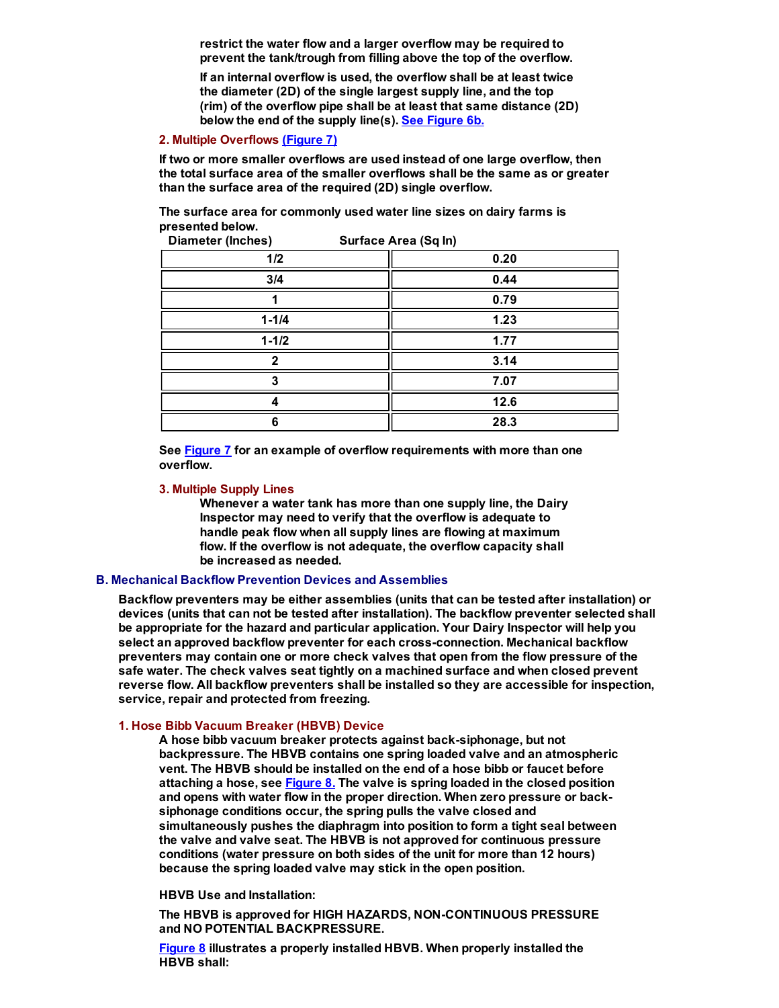restrict the water flow and a larger overflow may be required to prevent the tank/trough from filling above the top of the overflow.

If an internal overflow is used, the overflow shall be at least twice the diameter (2D) of the single largest supply line, and the top (rim) of the overflow pipe shall be at least that same distance (2D) below the end of the supply line(s). See Figure 6b.

#### 2. Multiple Overflows (Figure 7)

If two or more smaller overflows are used instead of one large overflow, then the total surface area of the smaller overflows shall be the same as or greater than the surface area of the required (2D) single overflow.

The surface area for commonly used water line sizes on dairy farms is presented below. Diameter (Inches) Surface Area (Sq In)

| Diameter (inclues)<br><b>Suriace Area (Syling</b> |      |
|---------------------------------------------------|------|
| 1/2                                               | 0.20 |
| 3/4                                               | 0.44 |
|                                                   | 0.79 |
| $1 - 1/4$                                         | 1.23 |
| $1 - 1/2$                                         | 1.77 |
| 2                                                 | 3.14 |
|                                                   | 7.07 |
|                                                   | 12.6 |
| 6                                                 | 28.3 |

See Figure 7 for an example of overflow requirements with more than one overflow.

#### 3. Multiple Supply Lines

Whenever a water tank has more than one supply line, the Dairy Inspector may need to verify that the overflow is adequate to handle peak flow when all supply lines are flowing at maximum flow. If the overflow is not adequate, the overflow capacity shall be increased as needed.

#### B. Mechanical Backflow Prevention Devices and Assemblies

Backflow preventers may be either assemblies (units that can be tested after installation) or devices (units that can not be tested after installation). The backflow preventer selected shall be appropriate for the hazard and particular application. Your Dairy Inspector will help you select an approved backflow preventer for each crossconnection. Mechanical backflow preventers may contain one or more check valves that open from the flow pressure of the safe water. The check valves seat tightly on a machined surface and when closed prevent reverse flow. All backflow preventers shall be installed so they are accessible for inspection, service, repair and protected from freezing.

#### 1. Hose Bibb Vacuum Breaker (HBVB) Device

A hose bibb vacuum breaker protects against back-siphonage, but not backpressure. The HBVB contains one spring loaded valve and an atmospheric vent. The HBVB should be installed on the end of a hose bibb or faucet before attaching a hose, see  $Figure 8$ . The valve is spring loaded in the closed position and opens with water flow in the proper direction. When zero pressure or backsiphonage conditions occur, the spring pulls the valve closed and simultaneously pushes the diaphragm into position to form a tight seal between the valve and valve seat. The HBVB is not approved for continuous pressure conditions (water pressure on both sides of the unit for more than 12 hours) because the spring loaded valve may stick in the open position.

#### HBVB Use and Installation:

The HBVB is approved for HIGH HAZARDS, NON-CONTINUOUS PRESSURE and NO POTENTIAL BACKPRESSURE.

Figure 8 illustrates a properly installed HBVB. When properly installed the HBVB shall: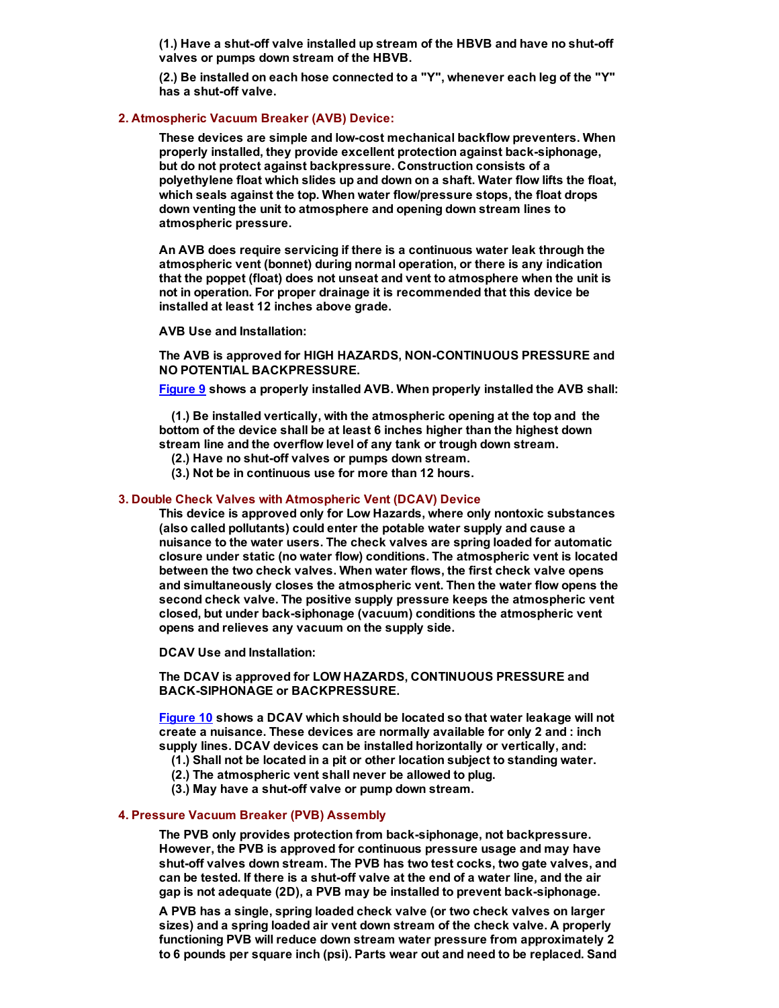(1.) Have a shut-off valve installed up stream of the HBVB and have no shut-off valves or pumps down stream of the HBVB.

(2.) Be installed on each hose connected to a "Y", whenever each leg of the "Y" has a shut-off valve.

#### 2. Atmospheric Vacuum Breaker (AVB) Device:

These devices are simple and lowcost mechanical backflow preventers. When properly installed, they provide excellent protection against back-siphonage, but do not protect against backpressure. Construction consists of a polyethylene float which slides up and down on a shaft. Water flow lifts the float, which seals against the top. When water flow/pressure stops, the float drops down venting the unit to atmosphere and opening down stream lines to atmospheric pressure.

An AVB does require servicing if there is a continuous water leak through the atmospheric vent (bonnet) during normal operation, or there is any indication that the poppet (float) does not unseat and vent to atmosphere when the unit is not in operation. For proper drainage it is recommended that this device be installed at least 12 inches above grade.

AVB Use and Installation:

The AVB is approved for HIGH HAZARDS, NON-CONTINUOUS PRESSURE and NO POTENTIAL BACKPRESSURE.

Figure 9 shows a properly installed AVB. When properly installed the AVB shall:

(1.) Be installed vertically, with the atmospheric opening at the top and the bottom of the device shall be at least 6 inches higher than the highest down stream line and the overflow level of any tank or trough down stream.

- (2.) Have no shut-off valves or pumps down stream.
- (3.) Not be in continuous use for more than 12 hours.

#### 3. Double Check Valves with Atmospheric Vent (DCAV) Device

This device is approved only for Low Hazards, where only nontoxic substances (also called pollutants) could enter the potable water supply and cause a nuisance to the water users. The check valves are spring loaded for automatic closure under static (no water flow) conditions. The atmospheric vent is located between the two check valves. When water flows, the first check valve opens and simultaneously closes the atmospheric vent. Then the water flow opens the second check valve. The positive supply pressure keeps the atmospheric vent closed, but under back-siphonage (vacuum) conditions the atmospheric vent opens and relieves any vacuum on the supply side.

DCAV Use and Installation:

The DCAV is approved for LOW HAZARDS, CONTINUOUS PRESSURE and BACK-SIPHONAGE or BACKPRESSURE.

Figure 10 shows a DCAV which should be located so that water leakage will not create a nuisance. These devices are normally available for only 2 and : inch supply lines. DCAV devices can be installed horizontally or vertically, and:

- (1.) Shall not be located in a pit or other location subject to standing water.
- (2.) The atmospheric vent shall never be allowed to plug.
- (3.) May have a shut-off valve or pump down stream.

#### 4. Pressure Vacuum Breaker (PVB) Assembly

The PVB only provides protection from back-siphonage, not backpressure. However, the PVB is approved for continuous pressure usage and may have shut-off valves down stream. The PVB has two test cocks, two gate valves, and can be tested. If there is a shut-off valve at the end of a water line, and the air gap is not adequate (2D), a PVB may be installed to prevent back-siphonage.

A PVB has a single, spring loaded check valve (or two check valves on larger sizes) and a spring loaded air vent down stream of the check valve. A properly functioning PVB will reduce down stream water pressure from approximately 2 to 6 pounds per square inch (psi). Parts wear out and need to be replaced. Sand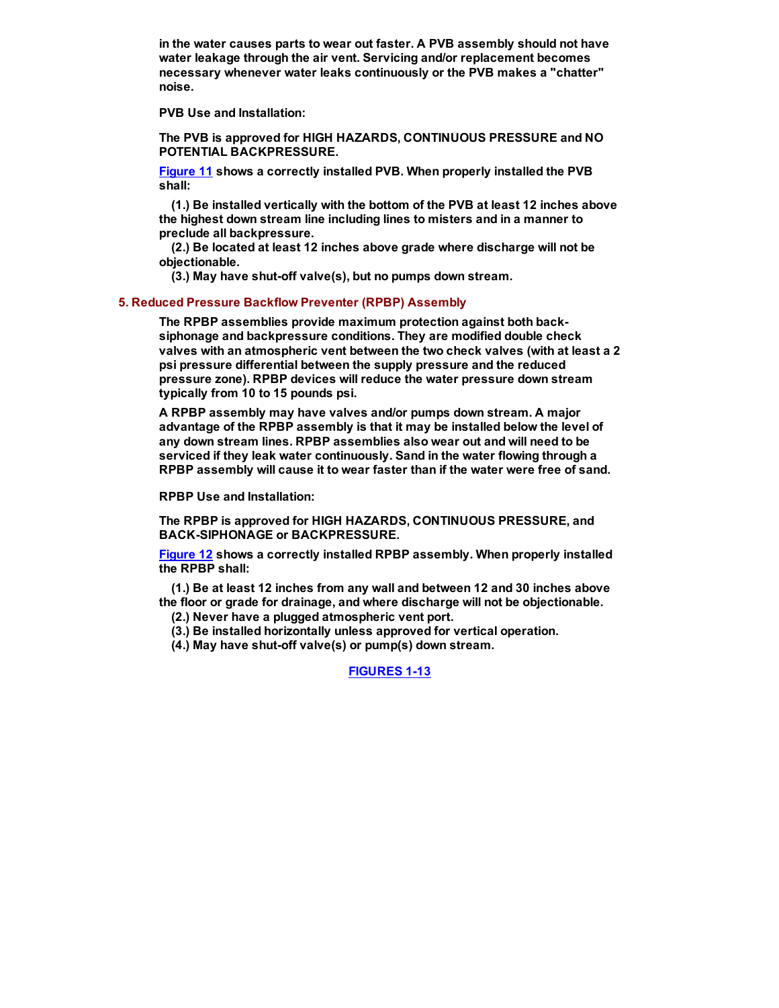in the water causes parts to wear out faster. A PVB assembly should not have water leakage through the air vent. Servicing and/or replacement becomes necessary whenever water leaks continuously or the PVB makes a "chatter" noise.

PVB Use and Installation:

The PVB is approved for HIGH HAZARDS, CONTINUOUS PRESSURE and NO POTENTIAL BACKPRESSURE.

Figure 11 shows a correctly installed PVB. When properly installed the PVB shall:

(1.) Be installed vertically with the bottom of the PVB at least 12 inches above the highest down stream line including lines to misters and in a manner to preclude all backpressure.

(2.) Be located at least 12 inches above grade where discharge will not be objectionable.

 $(3.)$  May have shut-off valve $(s)$ , but no pumps down stream.

#### 5. Reduced Pressure Backflow Preventer (RPBP) Assembly

The RPBP assemblies provide maximum protection against both backsiphonage and backpressure conditions. They are modified double check valves with an atmospheric vent between the two check valves (with at least a 2 psi pressure differential between the supply pressure and the reduced pressure zone). RPBP devices will reduce the water pressure down stream typically from 10 to 15 pounds psi.

A RPBP assembly may have valves and/or pumps down stream. A major advantage of the RPBP assembly is that it may be installed below the level of any down stream lines. RPBP assemblies also wear out and will need to be serviced if they leak water continuously. Sand in the water flowing through a RPBP assembly will cause it to wear faster than if the water were free of sand.

RPBP Use and Installation:

The RPBP is approved for HIGH HAZARDS, CONTINUOUS PRESSURE, and BACK-SIPHONAGE or BACKPRESSURE.

Figure 12 shows a correctly installed RPBP assembly. When properly installed the RPBP shall:

(1.) Be at least 12 inches from any wall and between 12 and 30 inches above the floor or grade for drainage, and where discharge will not be objectionable.

- (2.) Never have a plugged atmospheric vent port.
- (3.) Be installed horizontally unless approved for vertical operation.
- (4.) May have shut-off valve(s) or pump(s) down stream.

<span id="page-5-0"></span>**FIGURES 1-13**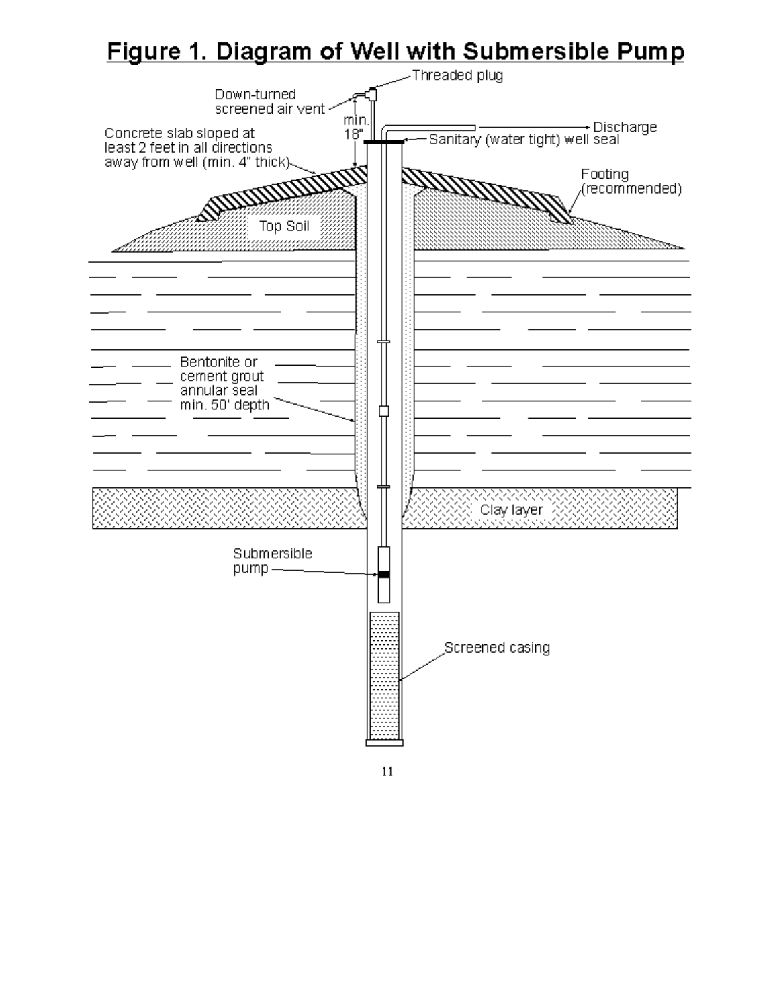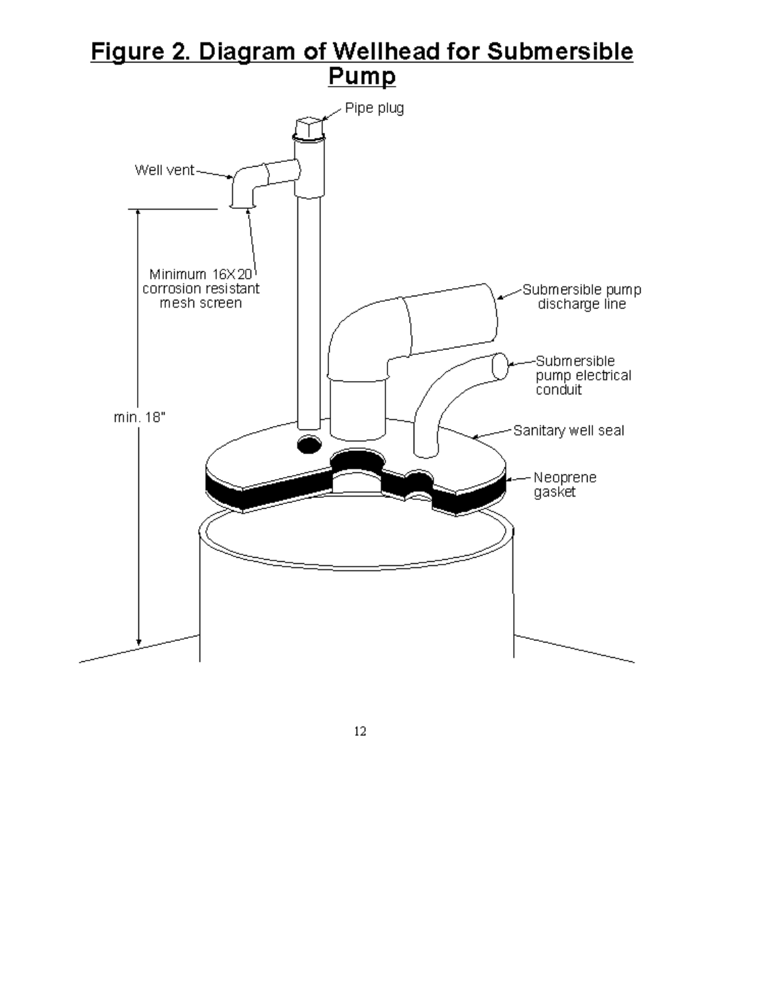# Figure 2. Diagram of Wellhead for Submersible<br>Pump

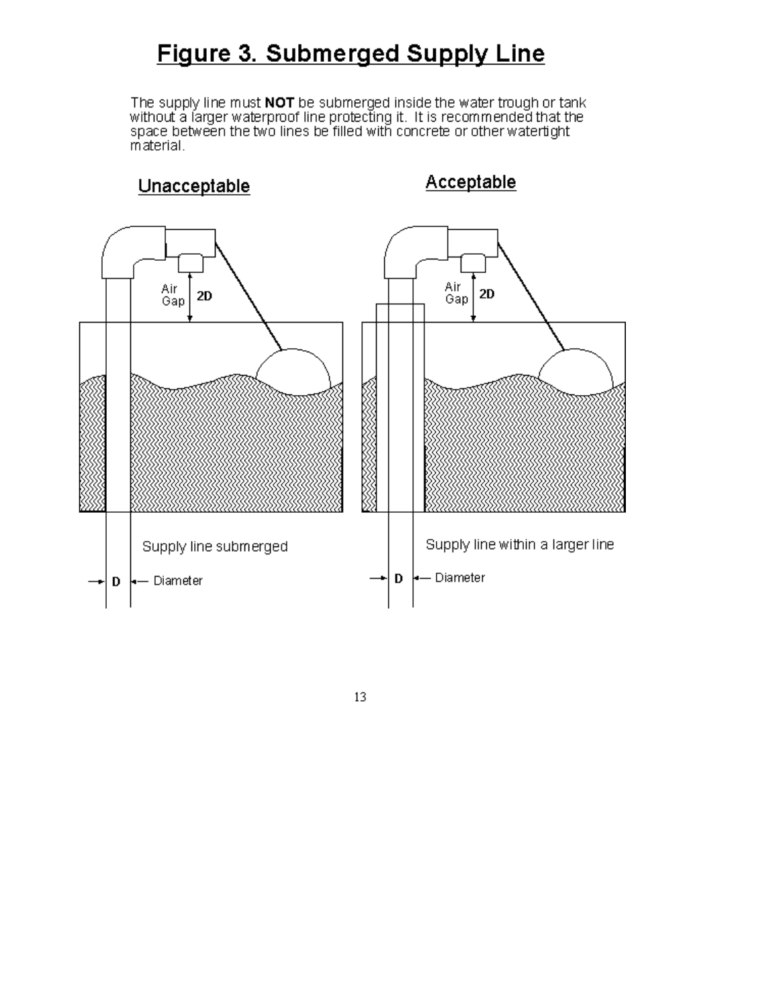### Figure 3. Submerged Supply Line

The supply line must **NOT** be submerged inside the water trough or tank<br>without a larger waterproof line protecting it. It is recommended that the<br>space between the two lines be filled with concrete or other waterlight material.

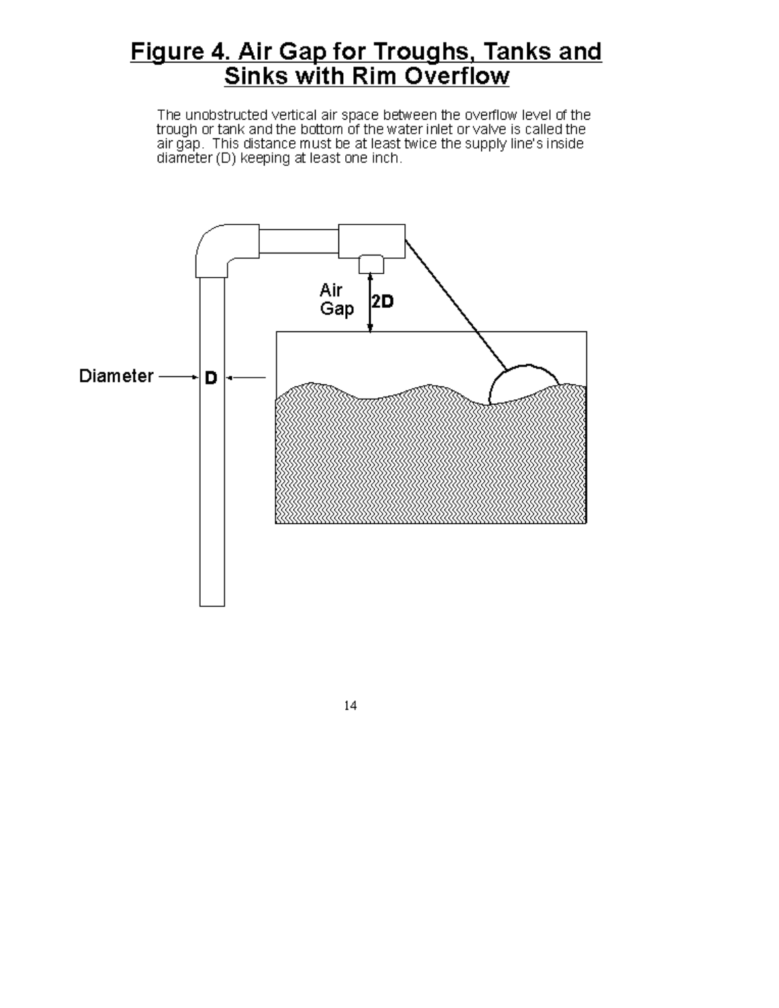### Figure 4. Air Gap for Troughs, Tanks and<br>Sinks with Rim Overflow

The unobstructed vertical air space between the overflow level of the trough or tank and the bottom of the water inlet or valve is called the air gap. This distance must be at least twice the supply line's inside<br>diameter (D) keeping at least one inch.

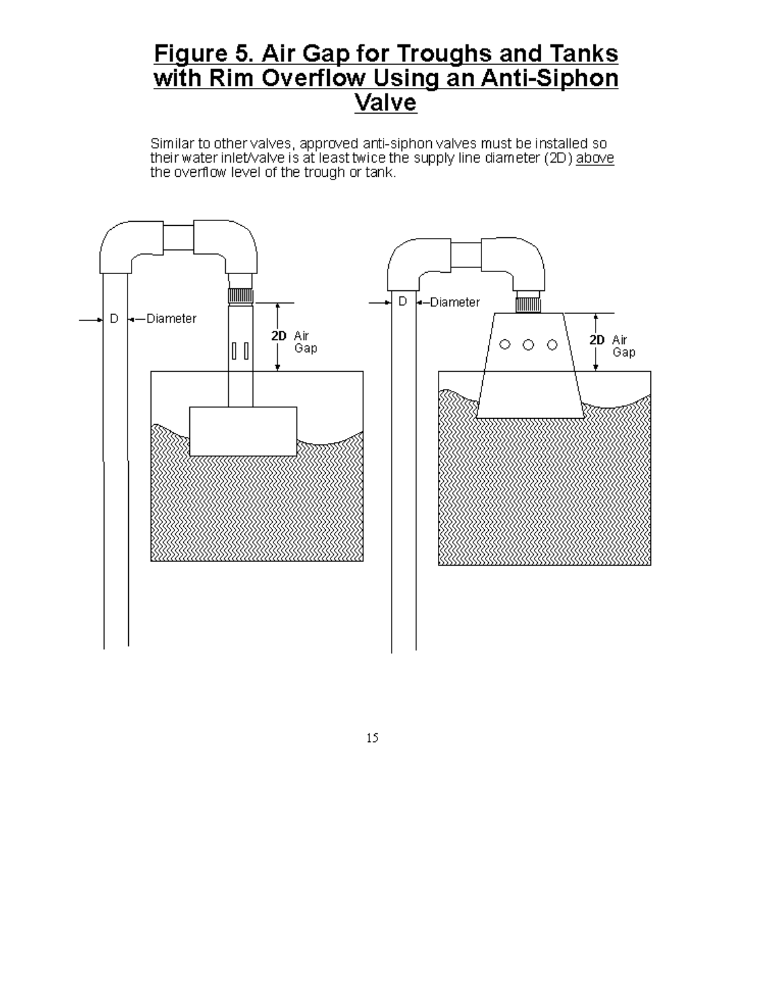# Figure 5. Air Gap for Troughs and Tanks<br>with Rim Overflow Using an Anti-Siphon<br>Valve

Similar to other valves, approved anti-siphon valves must be installed so their water inlet/valve is at least twice the supply line diameter (2D) above the overflow level of the trough or tank.



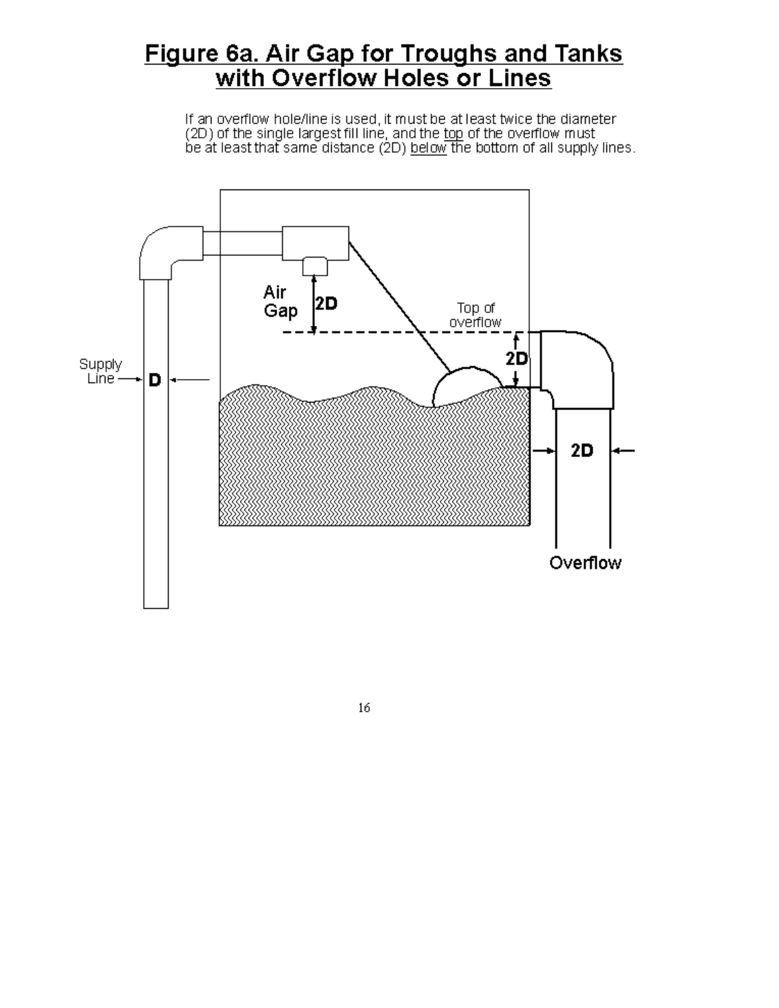### <u>Figure 6a. Air Gap for Troughs and Tanks</u><br>with Overflow Holes or Lines

If an overflow hole/line is used, it must be at least twice the diameter (2D) of the single largest fill line, and the top of the overflow must<br>be at least that same distance (2D) <u>below</u> the bottom of all supply lines.



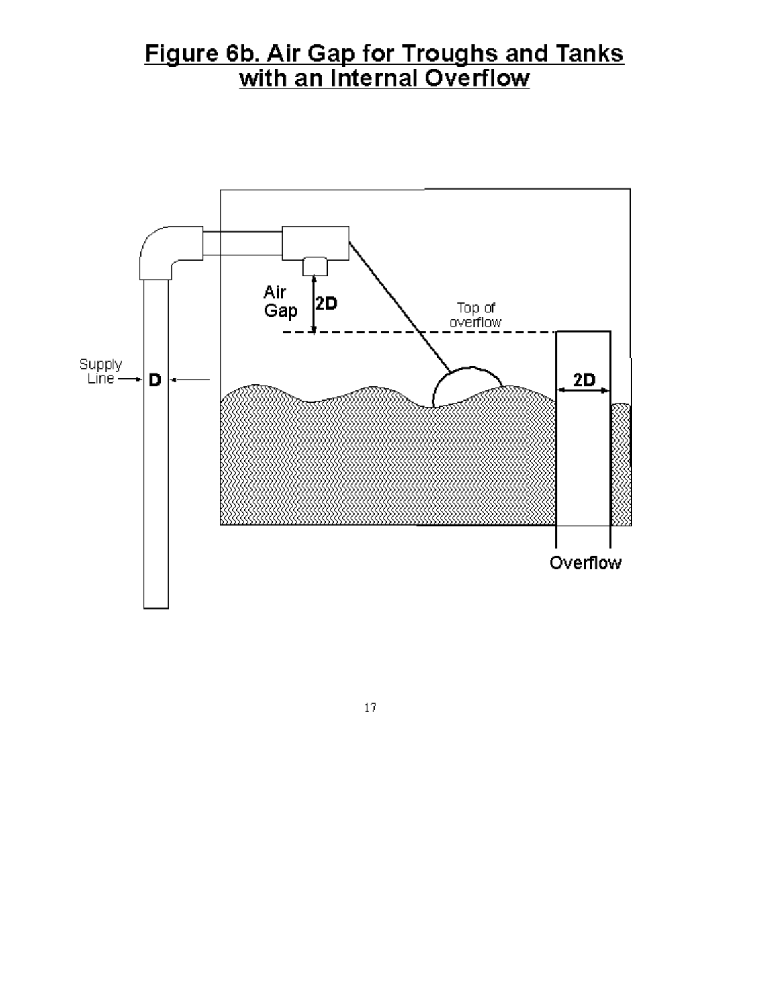## Figure 6b. Air Gap for Troughs and Tanks<br>with an Internal Overflow



 $17\,$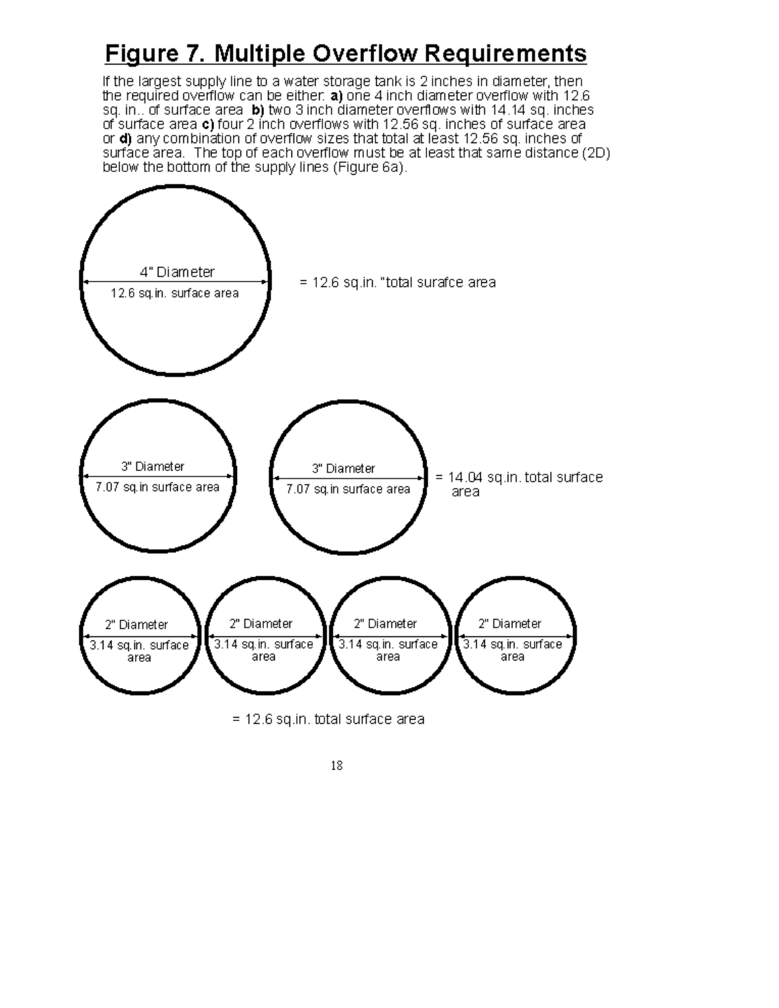### **Figure 7. Multiple Overflow Requirements**

If the largest supply line to a water storage tank is 2 inches in diameter, then the required overflow can be either. a) one 4 inch diameter overflow with 12.6 sq. in.. of surface area b) two 3 inch diameter overflows with 14.14 sq. inches of surface area c) four 2 inch overflows with 12.56 sq. inches of surface area or d) any combination of overflow sizes that total at least 12.56 sq. inches of surface area. The top of each overflow must be at least that same distance (2D) below the bottom of the supply lines (Figure 6a).

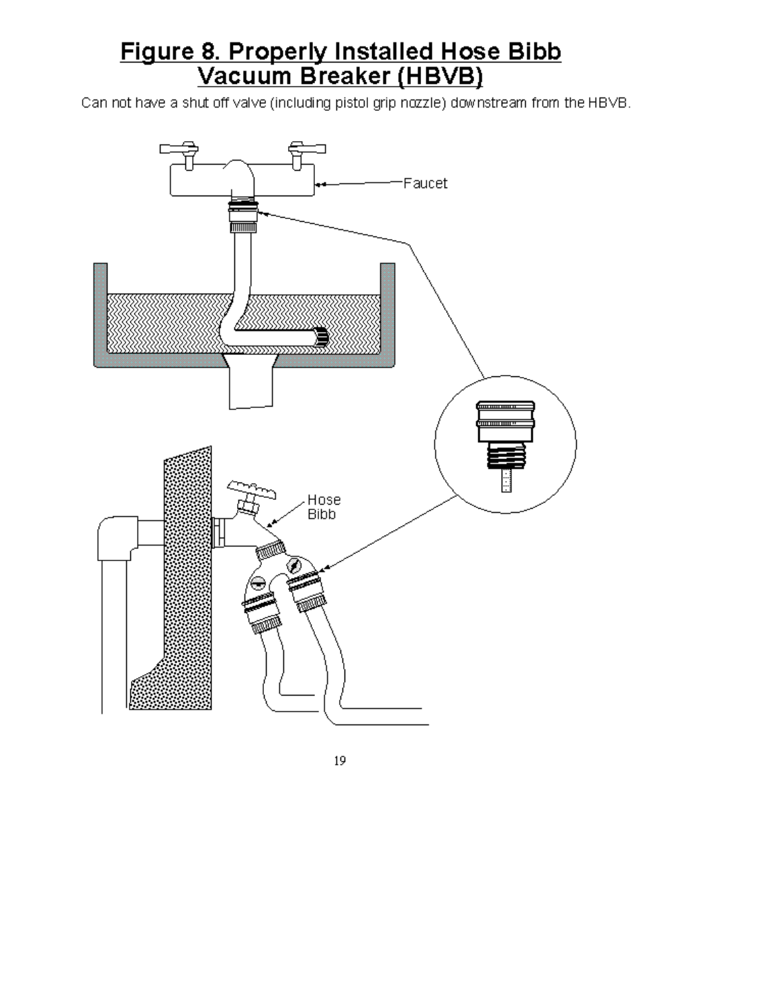## Figure 8. Properly Installed Hose Bibb<br>Vacuum Breaker (HBVB)

Can not have a shut off valve (including pistol grip nozzle) downstream from the HBVB.

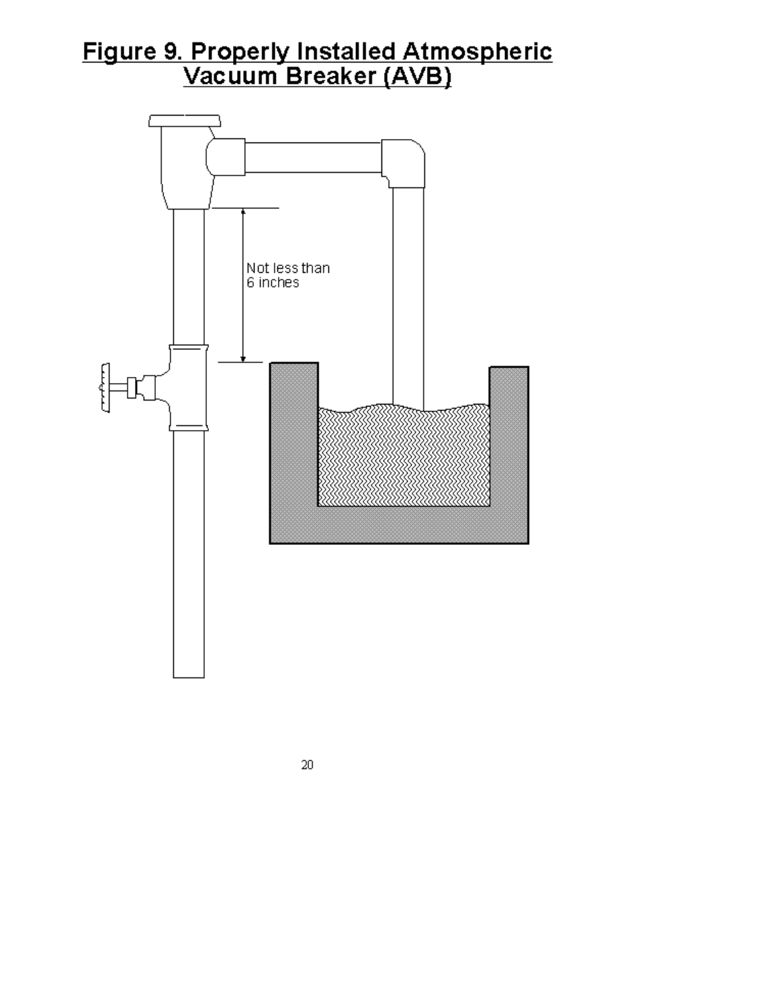# Figure 9. Properly Installed Atmospheric<br>Vacuum Breaker (AVB)



 $20\,$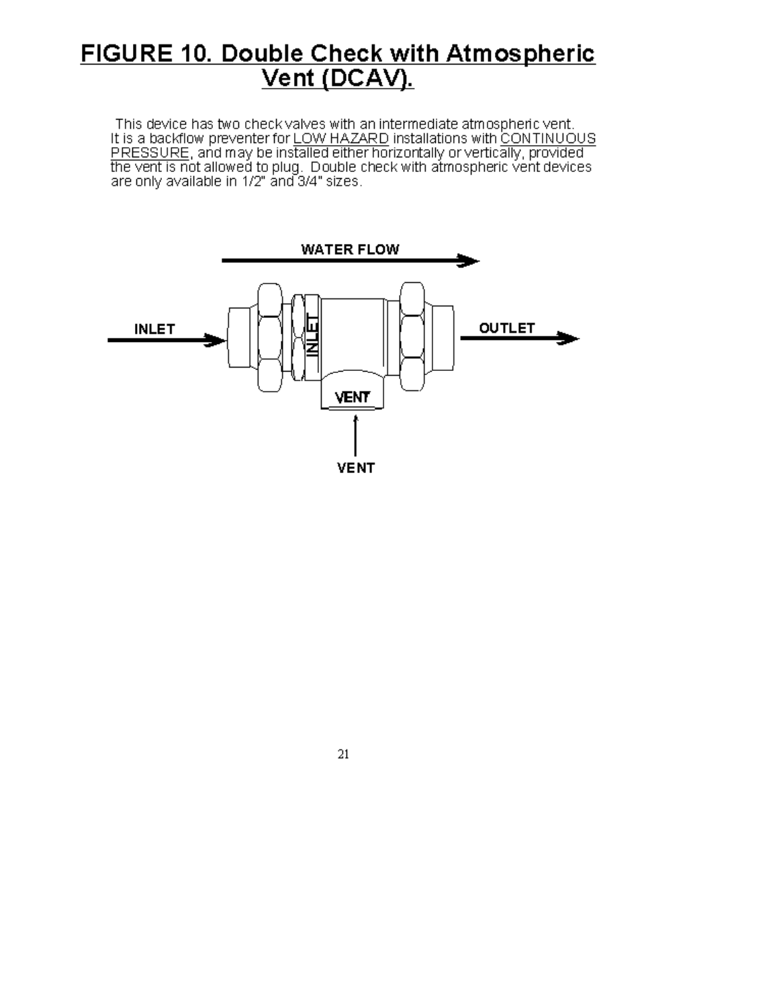## FIGURE 10. Double Check with Atmospheric<br>Vent (DCAV).

This device has two check valves with an intermediate atmospheric vent.<br>It is a backflow preventer for LOW HAZARD installations with CONTINUOUS<br>PRESSURE, and may be installed either horizontally or vertically, provided<br>the



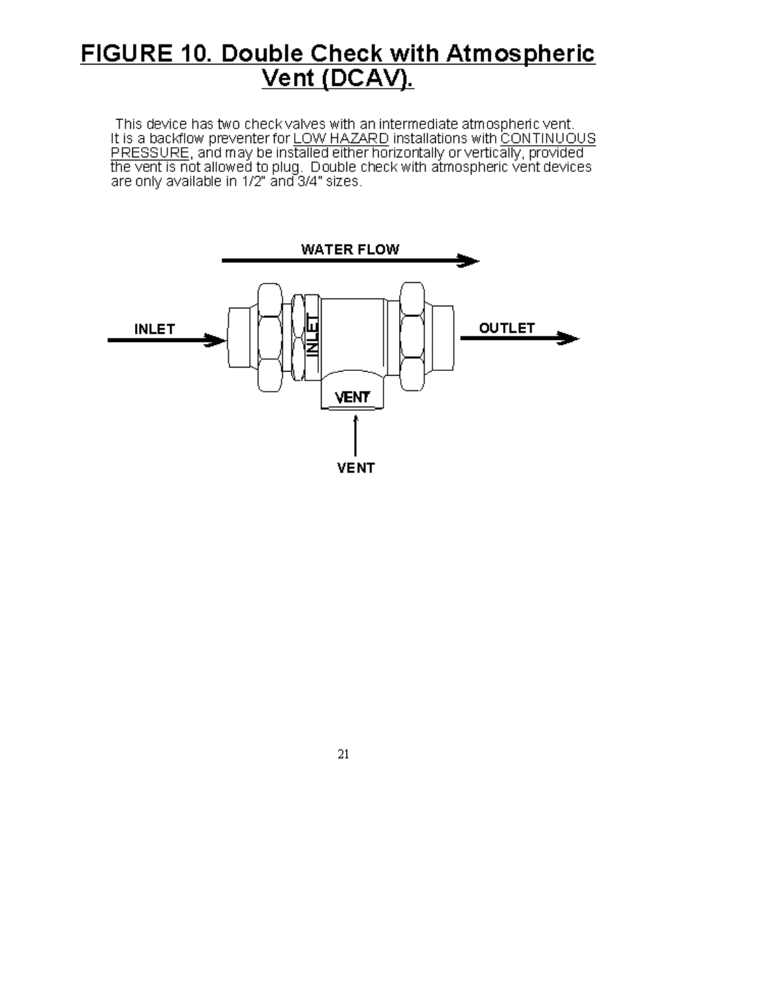## FIGURE 10. Double Check with Atmospheric<br>Vent (DCAV).

This device has two check valves with an intermediate atmospheric vent.<br>It is a backflow preventer for LOW HAZARD installations with CONTINUOUS<br>PRESSURE, and may be installed either horizontally or vertically, provided<br>the



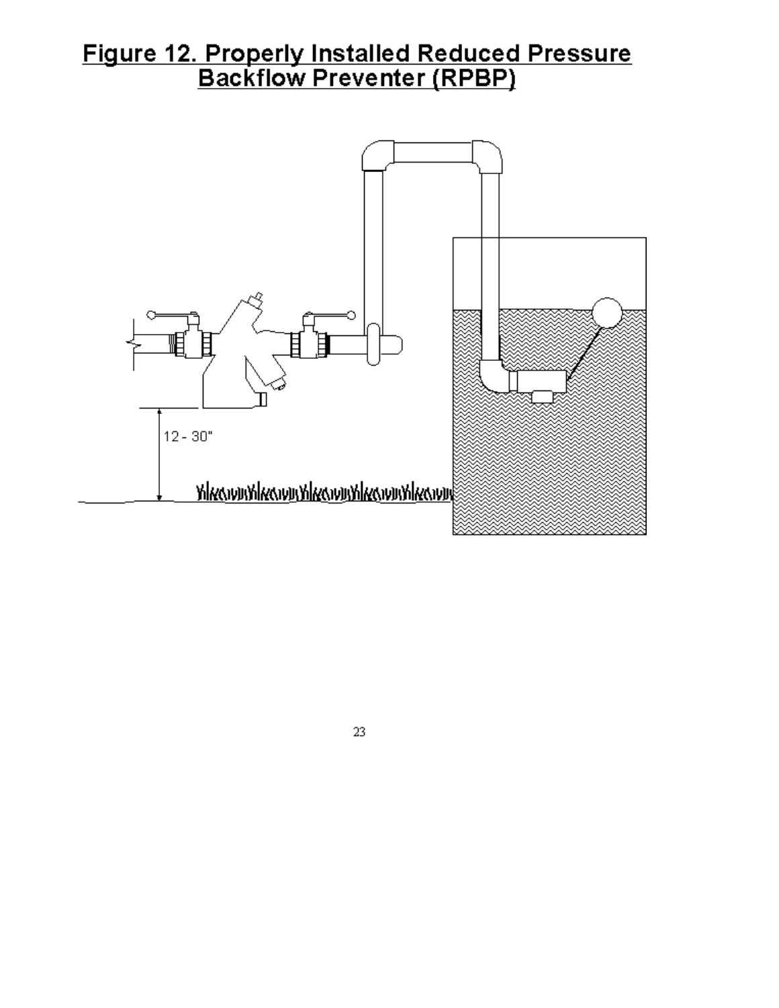### Figure 12. Properly Installed Reduced Pressure<br>Backflow Preventer (RPBP)



23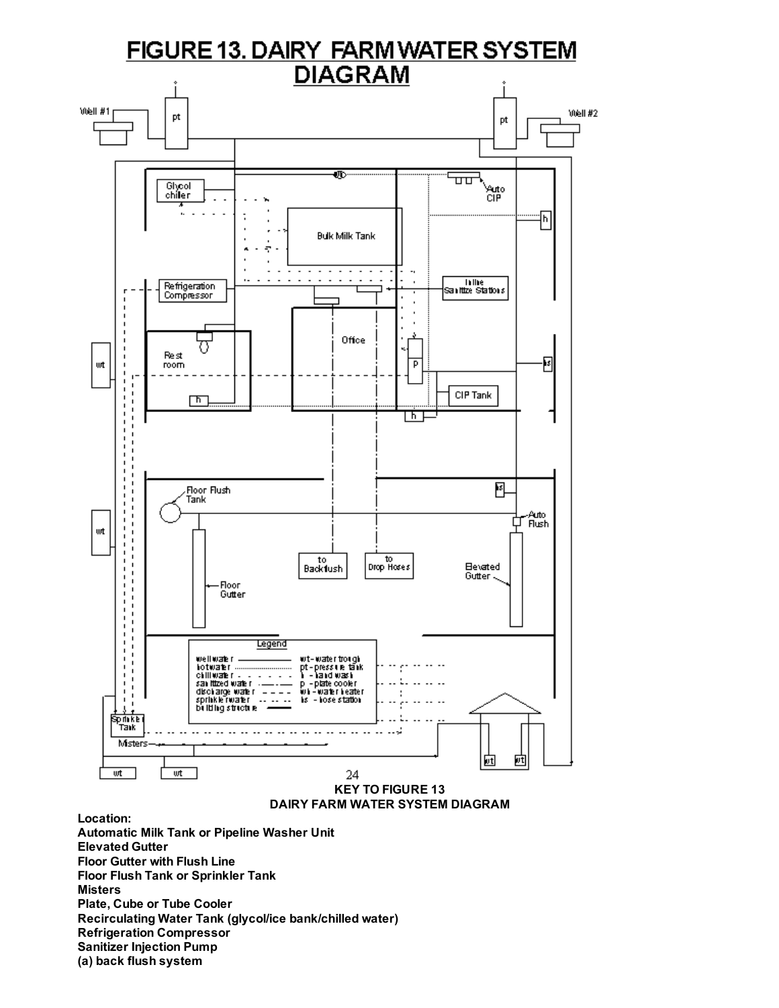

Recirculating Water Tank (glycol/ice bank/chilled water)

Refrigeration Compressor

Sanitizer Injection Pump

(a) back flush system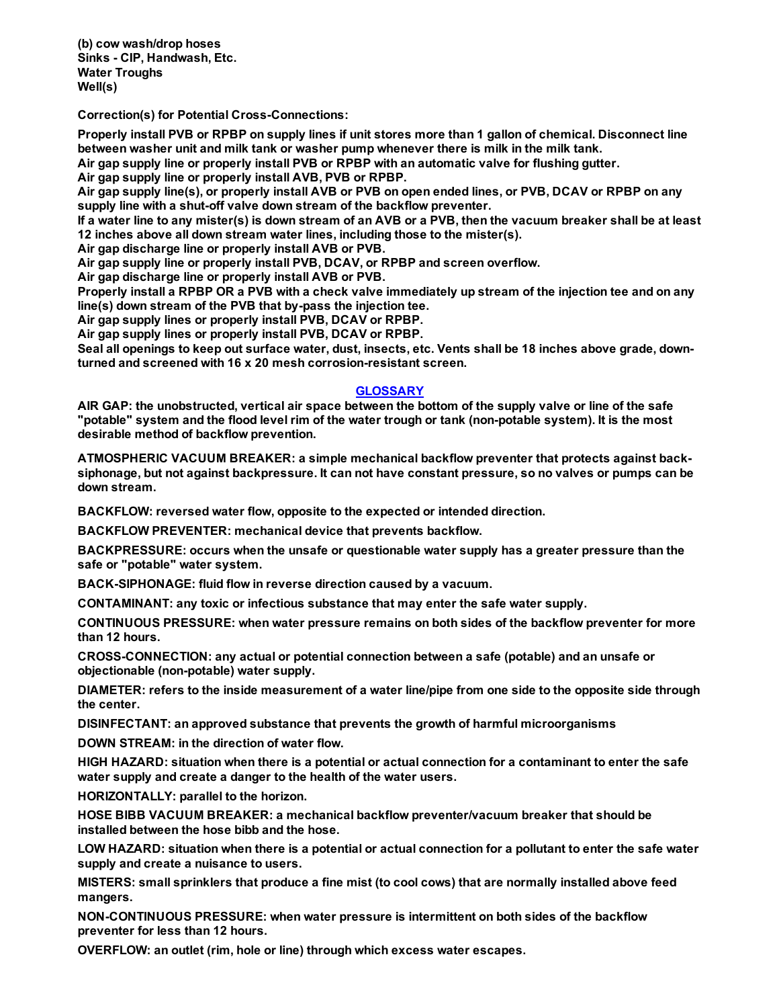(b) cow wash/drop hoses Sinks CIP, Handwash, Etc. Water Troughs Well(s)

Correction(s) for Potential Cross-Connections:

Properly install PVB or RPBP on supply lines if unit stores more than 1 gallon of chemical. Disconnect line between washer unit and milk tank or washer pump whenever there is milk in the milk tank.

Air gap supply line or properly install PVB or RPBP with an automatic valve for flushing gutter.

Air gap supply line or properly install AVB, PVB or RPBP.

Air gap supply line(s), or properly install AVB or PVB on open ended lines, or PVB, DCAV or RPBP on any supply line with a shut-off valve down stream of the backflow preventer.

If a water line to any mister(s) is down stream of an AVB or a PVB, then the vacuum breaker shall be at least 12 inches above all down stream water lines, including those to the mister(s).

Air gap discharge line or properly install AVB or PVB.

Air gap supply line or properly install PVB, DCAV, or RPBP and screen overflow.

Air gap discharge line or properly install AVB or PVB.

Properly install a RPBP OR a PVB with a check valve immediately up stream of the injection tee and on any line(s) down stream of the PVB that by-pass the injection tee.

Air gap supply lines or properly install PVB, DCAV or RPBP.

Air gap supply lines or properly install PVB, DCAV or RPBP.

Seal all openings to keep out surface water, dust, insects, etc. Vents shall be 18 inches above grade, downturned and screened with 16 x 20 mesh corrosion-resistant screen.

#### <span id="page-20-0"></span>**GLOSSARY**

AIR GAP: the unobstructed, vertical air space between the bottom of the supply valve or line of the safe "potable" system and the flood level rim of the water trough or tank (non-potable system). It is the most desirable method of backflow prevention.

ATMOSPHERIC VACUUM BREAKER: a simple mechanical backflow preventer that protects against backsiphonage, but not against backpressure. It can not have constant pressure, so no valves or pumps can be down stream.

BACKFLOW: reversed water flow, opposite to the expected or intended direction.

BACKFLOW PREVENTER: mechanical device that prevents backflow.

BACKPRESSURE: occurs when the unsafe or questionable water supply has a greater pressure than the safe or "potable" water system.

BACK-SIPHONAGE: fluid flow in reverse direction caused by a vacuum.

CONTAMINANT: any toxic or infectious substance that may enter the safe water supply.

CONTINUOUS PRESSURE: when water pressure remains on both sides of the backflow preventer for more than 12 hours.

CROSS-CONNECTION: any actual or potential connection between a safe (potable) and an unsafe or objectionable (non-potable) water supply.

DIAMETER: refers to the inside measurement of a water line/pipe from one side to the opposite side through the center.

DISINFECTANT: an approved substance that prevents the growth of harmful microorganisms

DOWN STREAM: in the direction of water flow.

HIGH HAZARD: situation when there is a potential or actual connection for a contaminant to enter the safe water supply and create a danger to the health of the water users.

HORIZONTALLY: parallel to the horizon.

HOSE BIBB VACUUM BREAKER: a mechanical backflow preventer/vacuum breaker that should be installed between the hose bibb and the hose.

LOW HAZARD: situation when there is a potential or actual connection for a pollutant to enter the safe water supply and create a nuisance to users.

MISTERS: small sprinklers that produce a fine mist (to cool cows) that are normally installed above feed mangers.

NON-CONTINUOUS PRESSURE: when water pressure is intermittent on both sides of the backflow preventer for less than 12 hours.

OVERFLOW: an outlet (rim, hole or line) through which excess water escapes.